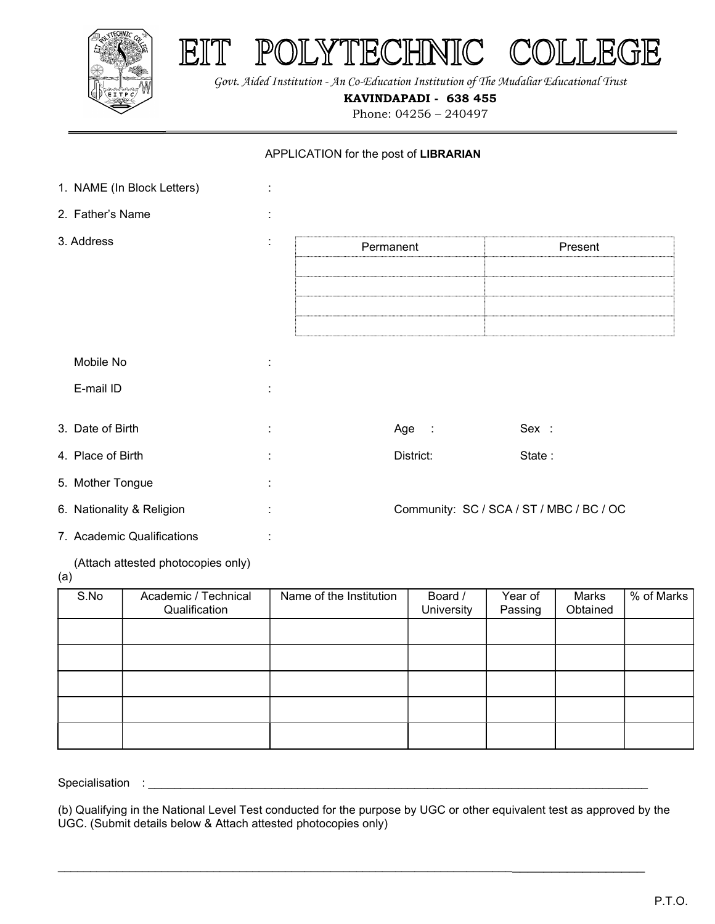

 $\mathbb{E}$ 

YTECHNIC  $POL$ 



KAVINDAPADI - 638 455

Phone: 04256 – 240497

## APPLICATION for the post of LIBRARIAN

| 1. NAME (In Block Letters) | ÷ |           |                                          |
|----------------------------|---|-----------|------------------------------------------|
| 2. Father's Name           | ÷ |           |                                          |
| 3. Address                 | ÷ | Permanent | Present                                  |
|                            |   |           |                                          |
|                            |   |           |                                          |
| Mobile No                  | ÷ |           |                                          |
| E-mail ID                  | ÷ |           |                                          |
| 3. Date of Birth           | ÷ | Age :     | Sex :                                    |
| 4. Place of Birth          | ÷ | District: | State:                                   |
| 5. Mother Tongue           | ÷ |           |                                          |
| 6. Nationality & Religion  | ÷ |           | Community: SC / SCA / ST / MBC / BC / OC |
| 7. Academic Qualifications | ÷ |           |                                          |

(Attach attested photocopies only)

(a)

| S.No | Academic / Technical<br>Qualification | Name of the Institution | Board /<br>University | Year of<br>Passing | Marks<br>Obtained | % of Marks |
|------|---------------------------------------|-------------------------|-----------------------|--------------------|-------------------|------------|
|      |                                       |                         |                       |                    |                   |            |
|      |                                       |                         |                       |                    |                   |            |
|      |                                       |                         |                       |                    |                   |            |
|      |                                       |                         |                       |                    |                   |            |
|      |                                       |                         |                       |                    |                   |            |

Specialisation : \_

(b) Qualifying in the National Level Test conducted for the purpose by UGC or other equivalent test as approved by the UGC. (Submit details below & Attach attested photocopies only)

\_\_\_\_\_\_\_\_\_\_\_\_\_\_\_\_\_\_\_\_\_\_\_\_\_\_\_\_\_\_\_\_\_\_\_\_\_\_\_\_\_\_\_\_\_\_\_\_\_\_\_\_\_\_\_\_\_\_\_\_\_\_\_\_\_\_\_\_\_\_\_\_\_\_\_\_\_\_\_\_\_\_\_\_\_\_\_